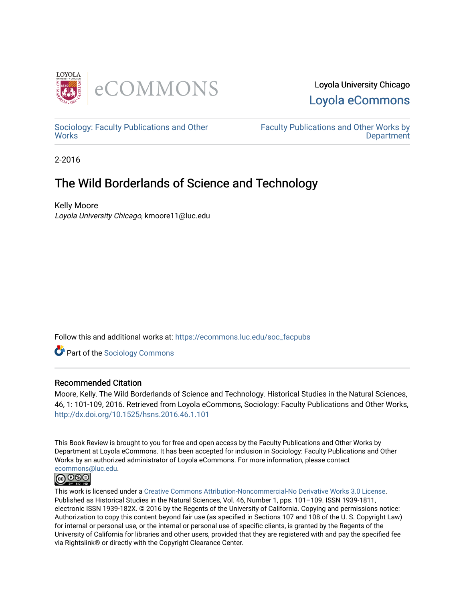

## Loyola University Chicago [Loyola eCommons](https://ecommons.luc.edu/)

[Sociology: Faculty Publications and Other](https://ecommons.luc.edu/soc_facpubs) **Works** 

[Faculty Publications and Other Works by](https://ecommons.luc.edu/faculty)  **Department** 

2-2016

# The Wild Borderlands of Science and Technology

Kelly Moore Loyola University Chicago, kmoore11@luc.edu

Follow this and additional works at: [https://ecommons.luc.edu/soc\\_facpubs](https://ecommons.luc.edu/soc_facpubs?utm_source=ecommons.luc.edu%2Fsoc_facpubs%2F6&utm_medium=PDF&utm_campaign=PDFCoverPages) 

**C** Part of the [Sociology Commons](http://network.bepress.com/hgg/discipline/416?utm_source=ecommons.luc.edu%2Fsoc_facpubs%2F6&utm_medium=PDF&utm_campaign=PDFCoverPages)

### Recommended Citation

Moore, Kelly. The Wild Borderlands of Science and Technology. Historical Studies in the Natural Sciences, 46, 1: 101-109, 2016. Retrieved from Loyola eCommons, Sociology: Faculty Publications and Other Works, <http://dx.doi.org/10.1525/hsns.2016.46.1.101>

This Book Review is brought to you for free and open access by the Faculty Publications and Other Works by Department at Loyola eCommons. It has been accepted for inclusion in Sociology: Faculty Publications and Other Works by an authorized administrator of Loyola eCommons. For more information, please contact [ecommons@luc.edu](mailto:ecommons@luc.edu).<br> **© 0 9 9** 



This work is licensed under a [Creative Commons Attribution-Noncommercial-No Derivative Works 3.0 License.](https://creativecommons.org/licenses/by-nc-nd/3.0/) Published as Historical Studies in the Natural Sciences, Vol. 46, Number 1, pps. 101–109. ISSN 1939-1811, electronic ISSN 1939-182X. © 2016 by the Regents of the University of California. Copying and permissions notice: Authorization to copy this content beyond fair use (as specified in Sections 107 and 108 of the U. S. Copyright Law) for internal or personal use, or the internal or personal use of specific clients, is granted by the Regents of the University of California for libraries and other users, provided that they are registered with and pay the specified fee via Rightslink® or directly with the Copyright Clearance Center.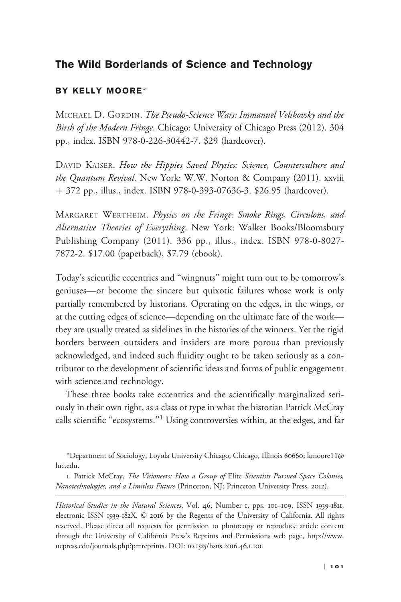#### The Wild Borderlands of Science and Technology

#### BY KELLY MOORE\*

MICHAEL D. GORDIN. The Pseudo-Science Wars: Immanuel Velikovsky and the Birth of the Modern Fringe. Chicago: University of Chicago Press (2012). 304 pp., index. ISBN 978-0-226-30442-7. \$29 (hardcover).

DAVID KAISER. How the Hippies Saved Physics: Science, Counterculture and the Quantum Revival. New York: W.W. Norton & Company (2011). xxviii þ 372 pp., illus., index. ISBN 978-0-393-07636-3. \$26.95 (hardcover).

MARGARET WERTHEIM. Physics on the Fringe: Smoke Rings, Circulons, and Alternative Theories of Everything. New York: Walker Books/Bloomsbury Publishing Company (2011). 336 pp., illus., index. ISBN 978-0-8027- 7872-2. \$17.00 (paperback), \$7.79 (ebook).

Today's scientific eccentrics and ''wingnuts'' might turn out to be tomorrow's geniuses—or become the sincere but quixotic failures whose work is only partially remembered by historians. Operating on the edges, in the wings, or at the cutting edges of science—depending on the ultimate fate of the work they are usually treated as sidelines in the histories of the winners. Yet the rigid borders between outsiders and insiders are more porous than previously acknowledged, and indeed such fluidity ought to be taken seriously as a contributor to the development of scientific ideas and forms of public engagement with science and technology.

These three books take eccentrics and the scientifically marginalized seriously in their own right, as a class or type in what the historian Patrick McCray calls scientific "ecosystems."<sup>1</sup> Using controversies within, at the edges, and far

\*Department of Sociology, Loyola University Chicago, Chicago, Illinois 60660; kmoore11@ luc.edu.

1. Patrick McCray, The Visioneers: How a Group of Elite Scientists Pursued Space Colonies, Nanotechnologies, and a Limitless Future (Princeton, NJ: Princeton University Press, 2012).

Historical Studies in the Natural Sciences, Vol. 46, Number 1, pps. 101-109. ISSN 1939-1811, electronic ISSN 1939-182X. © 2016 by the Regents of the University of California. All rights reserved. Please direct all requests for permission to photocopy or reproduce article content through the University of California Press's Reprints and Permissions web page, [http://www.](http://www.ucpress.edu/journals.php?p=reprints) [ucpress.edu/journals.php?p](http://www.ucpress.edu/journals.php?p=reprints)=[reprints.](http://www.ucpress.edu/journals.php?p=reprints) DOI: 10.1525/hsns.2016.46.1.101.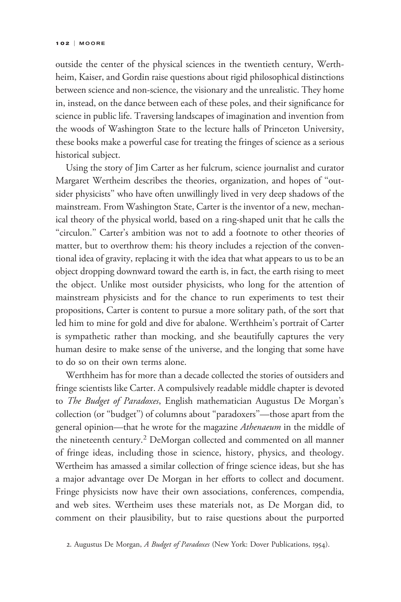outside the center of the physical sciences in the twentieth century, Werthheim, Kaiser, and Gordin raise questions about rigid philosophical distinctions between science and non-science, the visionary and the unrealistic. They home in, instead, on the dance between each of these poles, and their significance for science in public life. Traversing landscapes of imagination and invention from the woods of Washington State to the lecture halls of Princeton University, these books make a powerful case for treating the fringes of science as a serious historical subject.

Using the story of Jim Carter as her fulcrum, science journalist and curator Margaret Wertheim describes the theories, organization, and hopes of ''outsider physicists'' who have often unwillingly lived in very deep shadows of the mainstream. From Washington State, Carter is the inventor of a new, mechanical theory of the physical world, based on a ring-shaped unit that he calls the "circulon." Carter's ambition was not to add a footnote to other theories of matter, but to overthrow them: his theory includes a rejection of the conventional idea of gravity, replacing it with the idea that what appears to us to be an object dropping downward toward the earth is, in fact, the earth rising to meet the object. Unlike most outsider physicists, who long for the attention of mainstream physicists and for the chance to run experiments to test their propositions, Carter is content to pursue a more solitary path, of the sort that led him to mine for gold and dive for abalone. Werthheim's portrait of Carter is sympathetic rather than mocking, and she beautifully captures the very human desire to make sense of the universe, and the longing that some have to do so on their own terms alone.

Werthheim has for more than a decade collected the stories of outsiders and fringe scientists like Carter. A compulsively readable middle chapter is devoted to The Budget of Paradoxes, English mathematician Augustus De Morgan's collection (or ''budget'') of columns about ''paradoxers''—those apart from the general opinion—that he wrote for the magazine Athenaeum in the middle of the nineteenth century.<sup>2</sup> DeMorgan collected and commented on all manner of fringe ideas, including those in science, history, physics, and theology. Wertheim has amassed a similar collection of fringe science ideas, but she has a major advantage over De Morgan in her efforts to collect and document. Fringe physicists now have their own associations, conferences, compendia, and web sites. Wertheim uses these materials not, as De Morgan did, to comment on their plausibility, but to raise questions about the purported

<sup>2.</sup> Augustus De Morgan, A Budget of Paradoxes (New York: Dover Publications, 1954).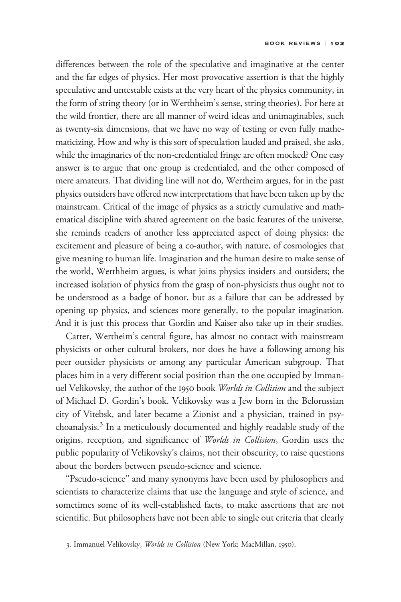differences between the role of the speculative and imaginative at the center and the far edges of physics. Her most provocative assertion is that the highly speculative and untestable exists at the very heart of the physics community, in the form of string theory (or in Werthheim's sense, string theories). For here at the wild frontier, there are all manner of weird ideas and unimaginables, such as twenty-six dimensions, that we have no way of testing or even fully mathematicizing. How and why is this sort of speculation lauded and praised, she asks, while the imaginaries of the non-credentialed fringe are often mocked? One easy answer is to argue that one group is credentialed, and the other composed of mere amateurs. That dividing line will not do, Wertheim argues, for in the past physics outsiders have offered new interpretations that have been taken up by the mainstream. Critical of the image of physics as a strictly cumulative and mathematical discipline with shared agreement on the basic features of the universe, she reminds readers of another less appreciated aspect of doing physics: the excitement and pleasure of being a co-author, with nature, of cosmologies that give meaning to human life. Imagination and the human desire to make sense of the world, Werthheim argues, is what joins physics insiders and outsiders; the increased isolation of physics from the grasp of non-physicists thus ought not to be understood as a badge of honor, but as a failure that can be addressed by opening up physics, and sciences more generally, to the popular imagination. And it is just this process that Gordin and Kaiser also take up in their studies.

Carter, Wertheim's central figure, has almost no contact with mainstream physicists or other cultural brokers, nor does he have a following among his peer outsider physicists or among any particular American subgroup. That places him in a very different social position than the one occupied by Immanuel Velikovsky, the author of the 1950 book Worlds in Collision and the subject of Michael D. Gordin's book. Velikovsky was a Jew born in the Belorussian city of Vitebsk, and later became a Zionist and a physician, trained in psychoanalysis.<sup>3</sup> In a meticulously documented and highly readable study of the origins, reception, and significance of Worlds in Collision, Gordin uses the public popularity of Velikovsky's claims, not their obscurity, to raise questions about the borders between pseudo-science and science.

''Pseudo-science'' and many synonyms have been used by philosophers and scientists to characterize claims that use the language and style of science, and sometimes some of its well-established facts, to make assertions that are not scientific. But philosophers have not been able to single out criteria that clearly

<sup>3.</sup> Immanuel Velikovsky, Worlds in Collision (New York: MacMillan, 1950).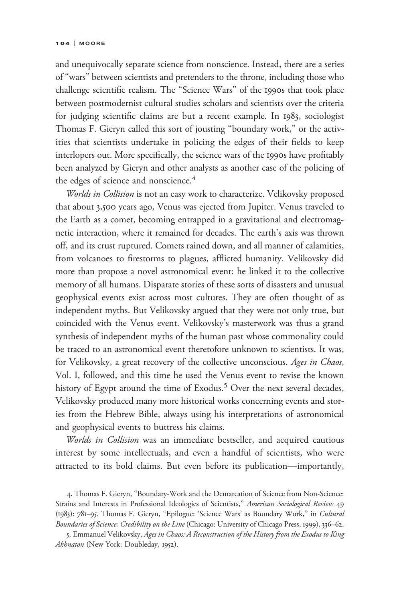and unequivocally separate science from nonscience. Instead, there are a series of ''wars'' between scientists and pretenders to the throne, including those who challenge scientific realism. The ''Science Wars'' of the 1990s that took place between postmodernist cultural studies scholars and scientists over the criteria for judging scientific claims are but a recent example. In 1983, sociologist Thomas F. Gieryn called this sort of jousting ''boundary work,'' or the activities that scientists undertake in policing the edges of their fields to keep interlopers out. More specifically, the science wars of the 1990s have profitably been analyzed by Gieryn and other analysts as another case of the policing of the edges of science and nonscience.<sup>4</sup>

Worlds in Collision is not an easy work to characterize. Velikovsky proposed that about 3,500 years ago, Venus was ejected from Jupiter. Venus traveled to the Earth as a comet, becoming entrapped in a gravitational and electromagnetic interaction, where it remained for decades. The earth's axis was thrown off, and its crust ruptured. Comets rained down, and all manner of calamities, from volcanoes to firestorms to plagues, afflicted humanity. Velikovsky did more than propose a novel astronomical event: he linked it to the collective memory of all humans. Disparate stories of these sorts of disasters and unusual geophysical events exist across most cultures. They are often thought of as independent myths. But Velikovsky argued that they were not only true, but coincided with the Venus event. Velikovsky's masterwork was thus a grand synthesis of independent myths of the human past whose commonality could be traced to an astronomical event theretofore unknown to scientists. It was, for Velikovsky, a great recovery of the collective unconscious. Ages in Chaos, Vol. I, followed, and this time he used the Venus event to revise the known history of Egypt around the time of Exodus.<sup>5</sup> Over the next several decades, Velikovsky produced many more historical works concerning events and stories from the Hebrew Bible, always using his interpretations of astronomical and geophysical events to buttress his claims.

Worlds in Collision was an immediate bestseller, and acquired cautious interest by some intellectuals, and even a handful of scientists, who were attracted to its bold claims. But even before its publication—importantly,

4. Thomas F. Gieryn, ''Boundary-Work and the Demarcation of Science from Non-Science: Strains and Interests in Professional Ideologies of Scientists," American Sociological Review 49 (1983): 781–95. Thomas F. Gieryn, ''Epilogue: 'Science Wars' as Boundary Work,'' in Cultural Boundaries of Science: Credibility on the Line (Chicago: University of Chicago Press, 1999), 336-62.

5. Emmanuel Velikovsky, Ages in Chaos: A Reconstruction of the History from the Exodus to King Akhnaton (New York: Doubleday, 1952).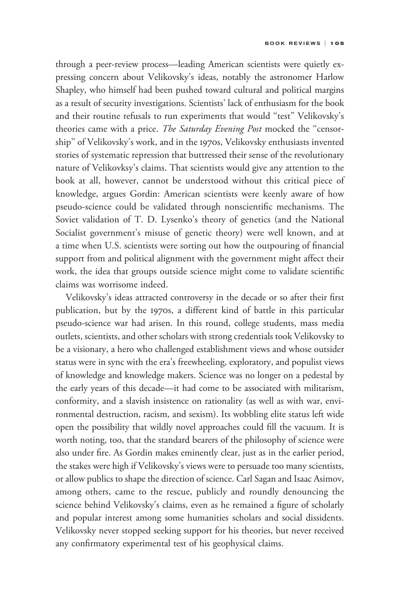through a peer-review process—leading American scientists were quietly expressing concern about Velikovsky's ideas, notably the astronomer Harlow Shapley, who himself had been pushed toward cultural and political margins as a result of security investigations. Scientists' lack of enthusiasm for the book and their routine refusals to run experiments that would ''test'' Velikovsky's theories came with a price. The Saturday Evening Post mocked the "censorship'' of Velikovsky's work, and in the 1970s, Velikovsky enthusiasts invented stories of systematic repression that buttressed their sense of the revolutionary nature of Velikovksy's claims. That scientists would give any attention to the book at all, however, cannot be understood without this critical piece of knowledge, argues Gordin: American scientists were keenly aware of how pseudo-science could be validated through nonscientific mechanisms. The Soviet validation of T. D. Lysenko's theory of genetics (and the National Socialist government's misuse of genetic theory) were well known, and at a time when U.S. scientists were sorting out how the outpouring of financial support from and political alignment with the government might affect their work, the idea that groups outside science might come to validate scientific claims was worrisome indeed.

Velikovsky's ideas attracted controversy in the decade or so after their first publication, but by the 1970s, a different kind of battle in this particular pseudo-science war had arisen. In this round, college students, mass media outlets, scientists, and other scholars with strong credentials took Velikovsky to be a visionary, a hero who challenged establishment views and whose outsider status were in sync with the era's freewheeling, exploratory, and populist views of knowledge and knowledge makers. Science was no longer on a pedestal by the early years of this decade—it had come to be associated with militarism, conformity, and a slavish insistence on rationality (as well as with war, environmental destruction, racism, and sexism). Its wobbling elite status left wide open the possibility that wildly novel approaches could fill the vacuum. It is worth noting, too, that the standard bearers of the philosophy of science were also under fire. As Gordin makes eminently clear, just as in the earlier period, the stakes were high if Velikovsky's views were to persuade too many scientists, or allow publics to shape the direction of science. Carl Sagan and Isaac Asimov, among others, came to the rescue, publicly and roundly denouncing the science behind Velikovsky's claims, even as he remained a figure of scholarly and popular interest among some humanities scholars and social dissidents. Velikovsky never stopped seeking support for his theories, but never received any confirmatory experimental test of his geophysical claims.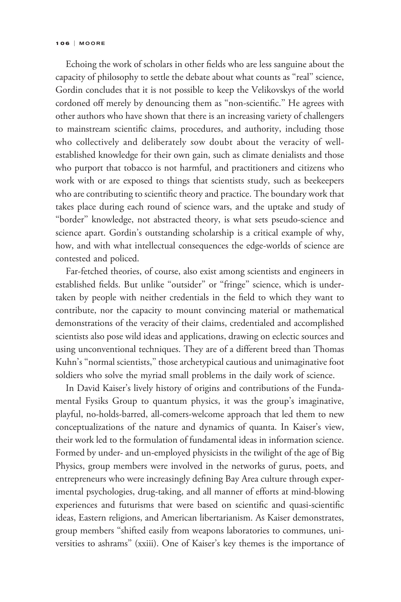Echoing the work of scholars in other fields who are less sanguine about the capacity of philosophy to settle the debate about what counts as ''real'' science, Gordin concludes that it is not possible to keep the Velikovskys of the world cordoned off merely by denouncing them as ''non-scientific.'' He agrees with other authors who have shown that there is an increasing variety of challengers to mainstream scientific claims, procedures, and authority, including those who collectively and deliberately sow doubt about the veracity of wellestablished knowledge for their own gain, such as climate denialists and those who purport that tobacco is not harmful, and practitioners and citizens who work with or are exposed to things that scientists study, such as beekeepers who are contributing to scientific theory and practice. The boundary work that takes place during each round of science wars, and the uptake and study of "border" knowledge, not abstracted theory, is what sets pseudo-science and science apart. Gordin's outstanding scholarship is a critical example of why, how, and with what intellectual consequences the edge-worlds of science are contested and policed.

Far-fetched theories, of course, also exist among scientists and engineers in established fields. But unlike "outsider" or "fringe" science, which is undertaken by people with neither credentials in the field to which they want to contribute, nor the capacity to mount convincing material or mathematical demonstrations of the veracity of their claims, credentialed and accomplished scientists also pose wild ideas and applications, drawing on eclectic sources and using unconventional techniques. They are of a different breed than Thomas Kuhn's ''normal scientists,'' those archetypical cautious and unimaginative foot soldiers who solve the myriad small problems in the daily work of science.

In David Kaiser's lively history of origins and contributions of the Fundamental Fysiks Group to quantum physics, it was the group's imaginative, playful, no-holds-barred, all-comers-welcome approach that led them to new conceptualizations of the nature and dynamics of quanta. In Kaiser's view, their work led to the formulation of fundamental ideas in information science. Formed by under- and un-employed physicists in the twilight of the age of Big Physics, group members were involved in the networks of gurus, poets, and entrepreneurs who were increasingly defining Bay Area culture through experimental psychologies, drug-taking, and all manner of efforts at mind-blowing experiences and futurisms that were based on scientific and quasi-scientific ideas, Eastern religions, and American libertarianism. As Kaiser demonstrates, group members ''shifted easily from weapons laboratories to communes, universities to ashrams'' (xxiii). One of Kaiser's key themes is the importance of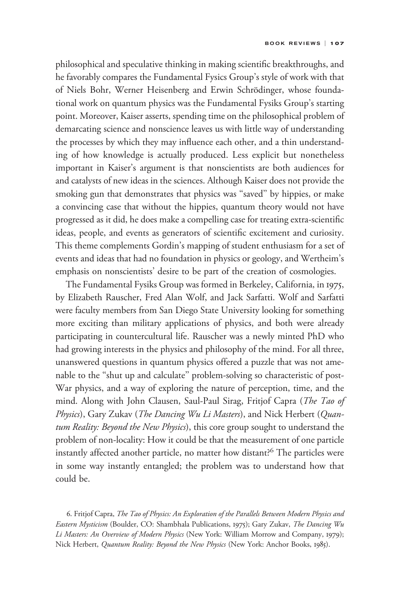philosophical and speculative thinking in making scientific breakthroughs, and he favorably compares the Fundamental Fysics Group's style of work with that of Niels Bohr, Werner Heisenberg and Erwin Schrödinger, whose foundational work on quantum physics was the Fundamental Fysiks Group's starting point. Moreover, Kaiser asserts, spending time on the philosophical problem of demarcating science and nonscience leaves us with little way of understanding the processes by which they may influence each other, and a thin understanding of how knowledge is actually produced. Less explicit but nonetheless important in Kaiser's argument is that nonscientists are both audiences for and catalysts of new ideas in the sciences. Although Kaiser does not provide the smoking gun that demonstrates that physics was ''saved'' by hippies, or make a convincing case that without the hippies, quantum theory would not have progressed as it did, he does make a compelling case for treating extra-scientific ideas, people, and events as generators of scientific excitement and curiosity. This theme complements Gordin's mapping of student enthusiasm for a set of events and ideas that had no foundation in physics or geology, and Wertheim's emphasis on nonscientists' desire to be part of the creation of cosmologies.

The Fundamental Fysiks Group was formed in Berkeley, California, in 1975, by Elizabeth Rauscher, Fred Alan Wolf, and Jack Sarfatti. Wolf and Sarfatti were faculty members from San Diego State University looking for something more exciting than military applications of physics, and both were already participating in countercultural life. Rauscher was a newly minted PhD who had growing interests in the physics and philosophy of the mind. For all three, unanswered questions in quantum physics offered a puzzle that was not amenable to the ''shut up and calculate'' problem-solving so characteristic of post-War physics, and a way of exploring the nature of perception, time, and the mind. Along with John Clausen, Saul-Paul Sirag, Fritjof Capra (The Tao of Physics), Gary Zukav (The Dancing Wu Li Masters), and Nick Herbert (Quantum Reality: Beyond the New Physics), this core group sought to understand the problem of non-locality: How it could be that the measurement of one particle instantly affected another particle, no matter how distant?<sup>6</sup> The particles were in some way instantly entangled; the problem was to understand how that could be.

6. Fritjof Capra, The Tao of Physics: An Exploration of the Parallels Between Modern Physics and Eastern Mysticism (Boulder, CO: Shambhala Publications, 1975); Gary Zukav, The Dancing Wu Li Masters: An Overview of Modern Physics (New York: William Morrow and Company, 1979); Nick Herbert, Quantum Reality: Beyond the New Physics (New York: Anchor Books, 1985).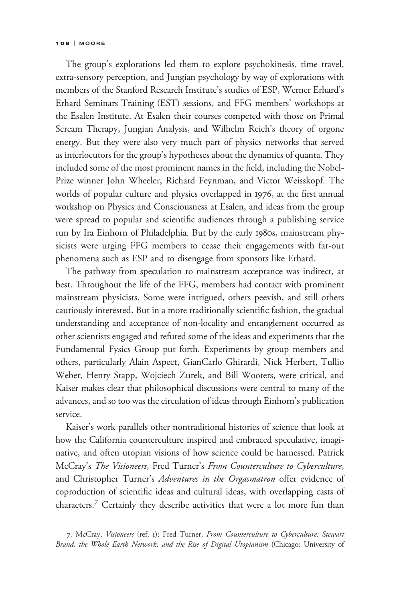The group's explorations led them to explore psychokinesis, time travel, extra-sensory perception, and Jungian psychology by way of explorations with members of the Stanford Research Institute's studies of ESP, Werner Erhard's Erhard Seminars Training (EST) sessions, and FFG members' workshops at the Esalen Institute. At Esalen their courses competed with those on Primal Scream Therapy, Jungian Analysis, and Wilhelm Reich's theory of orgone energy. But they were also very much part of physics networks that served as interlocutors for the group's hypotheses about the dynamics of quanta. They included some of the most prominent names in the field, including the Nobel-Prize winner John Wheeler, Richard Feynman, and Victor Weisskopf. The worlds of popular culture and physics overlapped in 1976, at the first annual workshop on Physics and Consciousness at Esalen, and ideas from the group were spread to popular and scientific audiences through a publishing service run by Ira Einhorn of Philadelphia. But by the early 1980s, mainstream physicists were urging FFG members to cease their engagements with far-out phenomena such as ESP and to disengage from sponsors like Erhard.

The pathway from speculation to mainstream acceptance was indirect, at best. Throughout the life of the FFG, members had contact with prominent mainstream physicists. Some were intrigued, others peevish, and still others cautiously interested. But in a more traditionally scientific fashion, the gradual understanding and acceptance of non-locality and entanglement occurred as other scientists engaged and refuted some of the ideas and experiments that the Fundamental Fysics Group put forth. Experiments by group members and others, particularly Alain Aspect, GianCarlo Ghirardi, Nick Herbert, Tullio Weber, Henry Stapp, Wojciech Zurek, and Bill Wooters, were critical, and Kaiser makes clear that philosophical discussions were central to many of the advances, and so too was the circulation of ideas through Einhorn's publication service.

Kaiser's work parallels other nontraditional histories of science that look at how the California counterculture inspired and embraced speculative, imaginative, and often utopian visions of how science could be harnessed. Patrick McCray's The Visioneers, Fred Turner's From Counterculture to Cyberculture, and Christopher Turner's Adventures in the Orgasmatron offer evidence of coproduction of scientific ideas and cultural ideas, with overlapping casts of characters.<sup>7</sup> Certainly they describe activities that were a lot more fun than

7. McCray, Visioneers (ref. 1); Fred Turner, From Counterculture to Cyberculture: Stewart Brand, the Whole Earth Network, and the Rise of Digital Utopianism (Chicago: University of